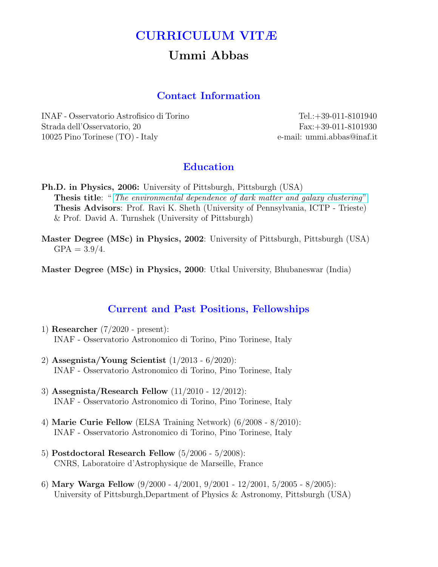# CURRICULUM VITÆ

# Ummi Abbas

### Contact Information

INAF - Osservatorio Astrofisico di Torino Tel.:+39-011-8101940 Strada dell'Osservatorio, 20 Fax:+39-011-8101930 10025 Pino Torinese (TO) - Italy e-mail: ummi.abbas@inaf.it

### Education

- Ph.D. in Physics, 2006: University of Pittsburgh, Pittsburgh (USA) Thesis title: " [The environmental dependence of dark matter and galaxy clustering](http://etd.library.pitt.edu/ETD/available/etd-04272006-130006/unrestricted/abbas_April2006.pdf)" Thesis Advisors: Prof. Ravi K. Sheth (University of Pennsylvania, ICTP - Trieste) & Prof. David A. Turnshek (University of Pittsburgh)
- Master Degree (MSc) in Physics, 2002: University of Pittsburgh, Pittsburgh (USA)  $GPA = 3.9/4.$

Master Degree (MSc) in Physics, 2000: Utkal University, Bhubaneswar (India)

#### Current and Past Positions, Fellowships

- 1) Researcher (7/2020 present): INAF - Osservatorio Astronomico di Torino, Pino Torinese, Italy
- 2) Assegnista/Young Scientist (1/2013 6/2020): INAF - Osservatorio Astronomico di Torino, Pino Torinese, Italy
- 3) Assegnista/Research Fellow (11/2010 12/2012): INAF - Osservatorio Astronomico di Torino, Pino Torinese, Italy
- 4) Marie Curie Fellow (ELSA Training Network) (6/2008 8/2010): INAF - Osservatorio Astronomico di Torino, Pino Torinese, Italy
- 5) Postdoctoral Research Fellow (5/2006 5/2008): CNRS, Laboratoire d'Astrophysique de Marseille, France
- 6) Mary Warga Fellow (9/2000 4/2001, 9/2001 12/2001, 5/2005 8/2005): University of Pittsburgh,Department of Physics & Astronomy, Pittsburgh (USA)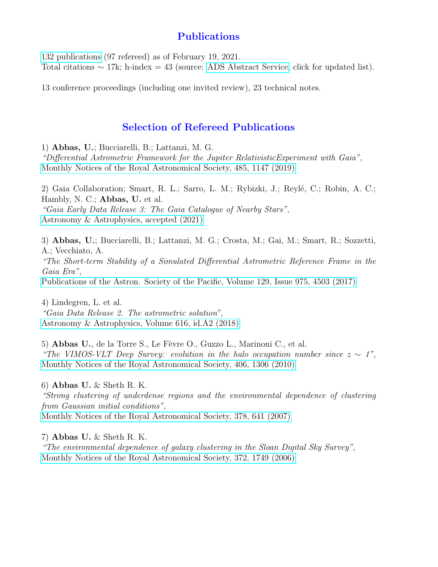## Publications

[132 publications](https://ui.adsabs.harvard.edu/search/q=orcid%3A%220000-0002-5076-766X%22&sort=date%20desc%2C%20bibcode%20desc&p_=0) (97 refereed) as of February 19, 2021. Total citations  $\sim$  17k; h-index = 43 (source: [ADS Abstract Service,](https://ui.adsabs.harvard.edu/search/q=orcid%3A%220000-0002-5076-766X%22&sort=date%20desc%2C%20bibcode%20desc&p_=0) click for updated list).

13 conference proceedings (including one invited review), 23 technical notes.

## Selection of Refereed Publications

1) Abbas, U.; Bucciarelli, B.; Lattanzi, M. G.

"Differential Astrometric Framework for the Jupiter RelativisticExperiment with Gaia", [Monthly Notices of the Royal Astronomical Society, 485, 1147 \(2019\)](https://ui.adsabs.harvard.edu/abs/2019MNRAS.485.1147A/abstract)

2) Gaia Collaboration; Smart, R. L.; Sarro, L. M.; Rybizki, J.; Reylé, C.; Robin, A. C.; Hambly, N. C.; Abbas, U. et al. "Gaia Early Data Release 3: The Gaia Catalogue of Nearby Stars", [Astronomy & Astrophysics, accepted \(2021\)](https://ui.adsabs.harvard.edu/abs/2020arXiv201202061G/abstract)

3) Abbas, U.; Bucciarelli, B.; Lattanzi, M. G.; Crosta, M.; Gai, M.; Smart, R.; Sozzetti, A.; Vecchiato, A. "The Short-term Stability of a Simulated Differential Astrometric Reference Frame in the

Gaia Era", [Publications of the Astron. Society of the Pacific, Volume 129, Issue 975, 4503 \(2017\)](https://ui.adsabs.harvard.edu/abs/2017PASP..129e4503A/abstract)

4) Lindegren, L. et al. "Gaia Data Release 2. The astrometric solution", [Astronomy & Astrophysics, Volume 616, id.A2 \(2018\)](https://ui.adsabs.harvard.edu/abs/2018A%26A...616A...2L/abstract)

5) Abbas U., de la Torre S., Le Fèvre O., Guzzo L., Marinoni C., et al. "The VIMOS-VLT Deep Survey: evolution in the halo occupation number since  $z \sim 1$ ", [Monthly Notices of the Royal Astronomical Society, 406, 1306 \(2010\)](http://adsabs.harvard.edu/abs/2010MNRAS.406.1306A)

6) Abbas U.  $&$  Sheth R. K.

"Strong clustering of underdense regions and the environmental dependence of clustering from Gaussian initial conditions", [Monthly Notices of the Royal Astronomical Society, 378, 641 \(2007\)](http://adsabs.harvard.edu/abs/2007MNRAS.378..641A)

7) Abbas U. & Sheth R. K. "The environmental dependence of galaxy clustering in the Sloan Digital Sky Survey", [Monthly Notices of the Royal Astronomical Society, 372, 1749 \(2006\)](http://adsabs.harvard.edu/abs/2006MNRAS.372.1749A)